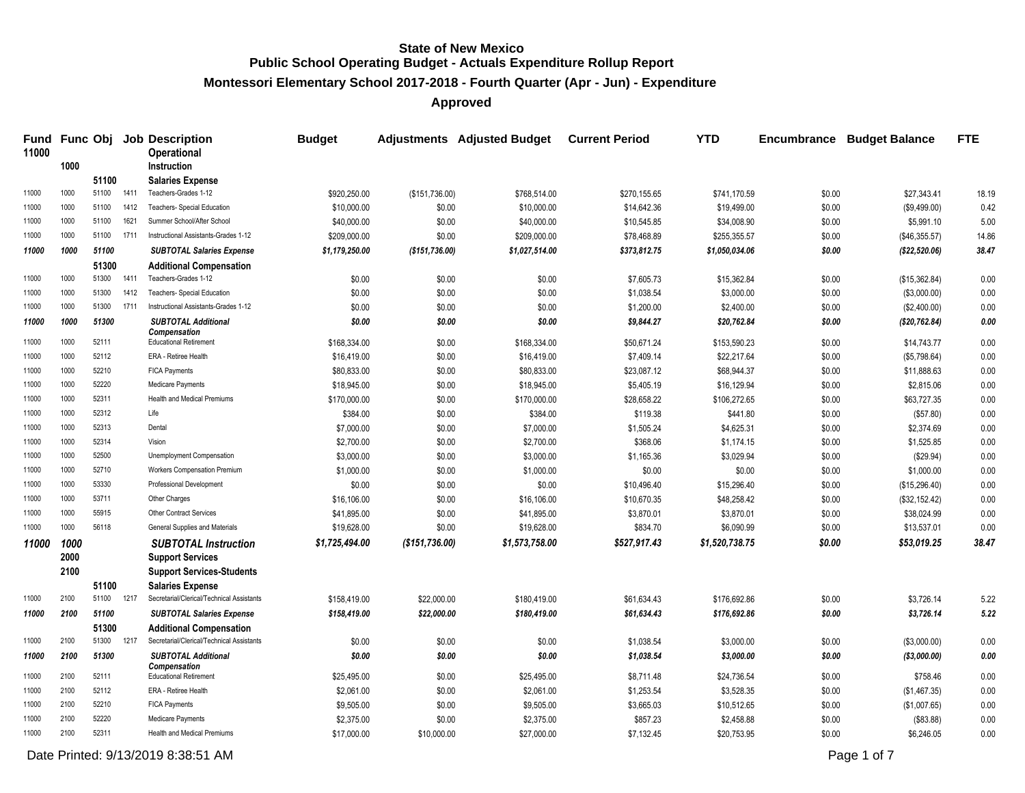**Montessori Elementary School 2017-2018 - Fourth Quarter (Apr - Jun) - Expenditure**

**Approved**

| Fund<br>11000 |              |            |      | <b>Func Obj Job Description</b><br><b>Operational</b>  | <b>Budget</b>  |                  | <b>Adjustments Adjusted Budget</b> | <b>Current Period</b> | <b>YTD</b>     | <b>Encumbrance</b> | <b>Budget Balance</b> | <b>FTE</b> |
|---------------|--------------|------------|------|--------------------------------------------------------|----------------|------------------|------------------------------------|-----------------------|----------------|--------------------|-----------------------|------------|
|               | 1000         |            |      | <b>Instruction</b>                                     |                |                  |                                    |                       |                |                    |                       |            |
|               |              | 51100      |      | <b>Salaries Expense</b>                                |                |                  |                                    |                       |                |                    |                       |            |
| 11000         | 1000         | 51100      | 1411 | Teachers-Grades 1-12                                   | \$920,250.00   | (\$151,736.00)   | \$768,514.00                       | \$270,155.65          | \$741,170.59   | \$0.00             | \$27,343.41           | 18.19      |
| 11000         | 1000         | 51100      | 1412 | Teachers- Special Education                            | \$10,000.00    | \$0.00           | \$10,000.00                        | \$14,642.36           | \$19,499.00    | \$0.00             | (\$9,499.00)          | 0.42       |
| 11000         | 1000         | 51100      | 1621 | Summer School/After School                             | \$40,000.00    | \$0.00           | \$40,000.00                        | \$10,545.85           | \$34,008.90    | \$0.00             | \$5,991.10            | 5.00       |
| 11000         | 1000         | 51100      | 1711 | Instructional Assistants-Grades 1-12                   | \$209,000.00   | \$0.00           | \$209,000.00                       | \$78,468.89           | \$255,355.57   | \$0.00             | (\$46,355.57)         | 14.86      |
| 11000         | 1000         | 51100      |      | <b>SUBTOTAL Salaries Expense</b>                       | \$1,179,250.00 | (\$151,736.00)   | \$1,027,514.00                     | \$373,812.75          | \$1,050,034.06 | \$0.00             | (\$22,520.06)         | 38.47      |
|               |              | 51300      |      | <b>Additional Compensation</b>                         |                |                  |                                    |                       |                |                    |                       |            |
| 11000         | 1000         | 51300      | 1411 | Teachers-Grades 1-12                                   | \$0.00         | \$0.00           | \$0.00                             | \$7,605.73            | \$15,362.84    | \$0.00             | (\$15,362.84)         | 0.00       |
| 11000         | 1000         | 51300      | 1412 | Teachers- Special Education                            | \$0.00         | \$0.00           | \$0.00                             | \$1,038.54            | \$3,000.00     | \$0.00             | (\$3,000.00)          | 0.00       |
| 11000         | 1000         | 51300      | 1711 | Instructional Assistants-Grades 1-12                   | \$0.00         | \$0.00           | \$0.00                             | \$1,200.00            | \$2,400.00     | \$0.00             | (\$2,400.00)          | 0.00       |
| 11000         | 1000         | 51300      |      | <b>SUBTOTAL Additional</b><br><b>Compensation</b>      | \$0.00         | \$0.00           | \$0.00                             | \$9,844.27            | \$20,762.84    | \$0.00             | (\$20,762.84)         | 0.00       |
| 11000         | 1000         | 52111      |      | <b>Educational Retirement</b>                          | \$168,334.00   | \$0.00           | \$168,334.00                       | \$50,671.24           | \$153,590.23   | \$0.00             | \$14,743.77           | 0.00       |
| 11000         | 1000         | 52112      |      | ERA - Retiree Health                                   | \$16,419.00    | \$0.00           | \$16,419.00                        | \$7,409.14            | \$22,217.64    | \$0.00             | (\$5,798.64)          | 0.00       |
| 11000         | 1000         | 52210      |      | <b>FICA Payments</b>                                   | \$80,833.00    | \$0.00           | \$80,833.00                        | \$23,087.12           | \$68,944.37    | \$0.00             | \$11,888.63           | 0.00       |
| 11000         | 1000         | 52220      |      | Medicare Payments                                      | \$18,945.00    | \$0.00           | \$18,945.00                        | \$5,405.19            | \$16,129.94    | \$0.00             | \$2,815.06            | 0.00       |
| 11000         | 1000         | 52311      |      | Health and Medical Premiums                            | \$170,000.00   | \$0.00           | \$170,000.00                       | \$28,658.22           | \$106,272.65   | \$0.00             | \$63,727.35           | 0.00       |
| 11000         | 1000         | 52312      |      | Life                                                   | \$384.00       | \$0.00           | \$384.00                           | \$119.38              | \$441.80       | \$0.00             | (\$57.80)             | 0.00       |
| 11000         | 1000         | 52313      |      | Dental                                                 | \$7,000.00     | \$0.00           | \$7,000.00                         | \$1,505.24            | \$4,625.31     | \$0.00             | \$2,374.69            | 0.00       |
| 11000         | 1000         | 52314      |      | Vision                                                 | \$2,700.00     | \$0.00           | \$2,700.00                         | \$368.06              | \$1,174.15     | \$0.00             | \$1,525.85            | 0.00       |
| 11000         | 1000         | 52500      |      | Unemployment Compensation                              | \$3,000.00     | \$0.00           | \$3,000.00                         | \$1,165.36            | \$3,029.94     | \$0.00             | (\$29.94)             | 0.00       |
| 11000         | 1000         | 52710      |      | <b>Workers Compensation Premium</b>                    | \$1,000.00     | \$0.00           | \$1,000.00                         | \$0.00                | \$0.00         | \$0.00             | \$1,000.00            | 0.00       |
| 11000         | 1000         | 53330      |      | Professional Development                               | \$0.00         | \$0.00           | \$0.00                             | \$10,496.40           | \$15,296.40    | \$0.00             | (\$15,296.40)         | 0.00       |
| 11000         | 1000         | 53711      |      | Other Charges                                          | \$16,106.00    | \$0.00           | \$16,106.00                        | \$10,670.35           | \$48,258.42    | \$0.00             | (\$32,152.42)         | 0.00       |
| 11000         | 1000         | 55915      |      | <b>Other Contract Services</b>                         | \$41,895.00    | \$0.00           | \$41,895.00                        | \$3,870.01            | \$3,870.01     | \$0.00             | \$38,024.99           | 0.00       |
| 11000         | 1000         | 56118      |      | General Supplies and Materials                         | \$19,628.00    | \$0.00           | \$19,628.00                        | \$834.70              | \$6,090.99     | \$0.00             | \$13,537.01           | 0.00       |
| 11000         | 1000<br>2000 |            |      | <b>SUBTOTAL Instruction</b><br><b>Support Services</b> | \$1,725,494.00 | ( \$151, 736.00) | \$1,573,758.00                     | \$527,917.43          | \$1,520,738.75 | \$0.00             | \$53,019.25           | 38.47      |
|               | 2100         |            |      | <b>Support Services-Students</b>                       |                |                  |                                    |                       |                |                    |                       |            |
|               |              | 51100      |      | <b>Salaries Expense</b>                                |                |                  |                                    |                       |                |                    |                       |            |
| 11000         | 2100         | 51100 1217 |      | Secretarial/Clerical/Technical Assistants              | \$158,419.00   | \$22,000.00      | \$180,419.00                       | \$61,634.43           | \$176,692.86   | \$0.00             | \$3,726.14            | 5.22       |
| 11000         | 2100         | 51100      |      | <b>SUBTOTAL Salaries Expense</b>                       | \$158,419.00   | \$22,000.00      | \$180,419.00                       | \$61,634.43           | \$176,692.86   | \$0.00             | \$3,726.14            | 5.22       |
|               |              | 51300      |      | <b>Additional Compensation</b>                         |                |                  |                                    |                       |                |                    |                       |            |
| 11000         | 2100         | 51300      | 1217 | Secretarial/Clerical/Technical Assistants              | \$0.00         | \$0.00           | \$0.00                             | \$1,038.54            | \$3,000.00     | \$0.00             | (\$3,000.00)          | 0.00       |
| 11000         | 2100         | 51300      |      | <b>SUBTOTAL Additional</b><br>Compensation             | \$0.00         | \$0.00           | \$0.00                             | \$1,038.54            | \$3,000.00     | \$0.00             | (\$3,000.00)          | 0.00       |
| 11000         | 2100         | 52111      |      | <b>Educational Retirement</b>                          | \$25,495.00    | \$0.00           | \$25,495.00                        | \$8,711.48            | \$24,736.54    | \$0.00             | \$758.46              | 0.00       |
| 11000         | 2100         | 52112      |      | ERA - Retiree Health                                   | \$2,061.00     | \$0.00           | \$2,061.00                         | \$1,253.54            | \$3,528.35     | \$0.00             | (\$1,467.35)          | 0.00       |
| 11000         | 2100         | 52210      |      | <b>FICA Payments</b>                                   | \$9,505.00     | \$0.00           | \$9,505.00                         | \$3,665.03            | \$10,512.65    | \$0.00             | (\$1,007.65)          | 0.00       |
| 11000         | 2100         | 52220      |      | <b>Medicare Payments</b>                               | \$2,375.00     | \$0.00           | \$2,375.00                         | \$857.23              | \$2,458.88     | \$0.00             | (\$83.88)             | 0.00       |
| 11000         | 2100         | 52311      |      | Health and Medical Premiums                            | \$17,000.00    | \$10,000.00      | \$27,000.00                        | \$7,132.45            | \$20,753.95    | \$0.00             | \$6,246.05            | 0.00       |

Date Printed:  $9/13/20198.38.51$  AM Page 1 of 7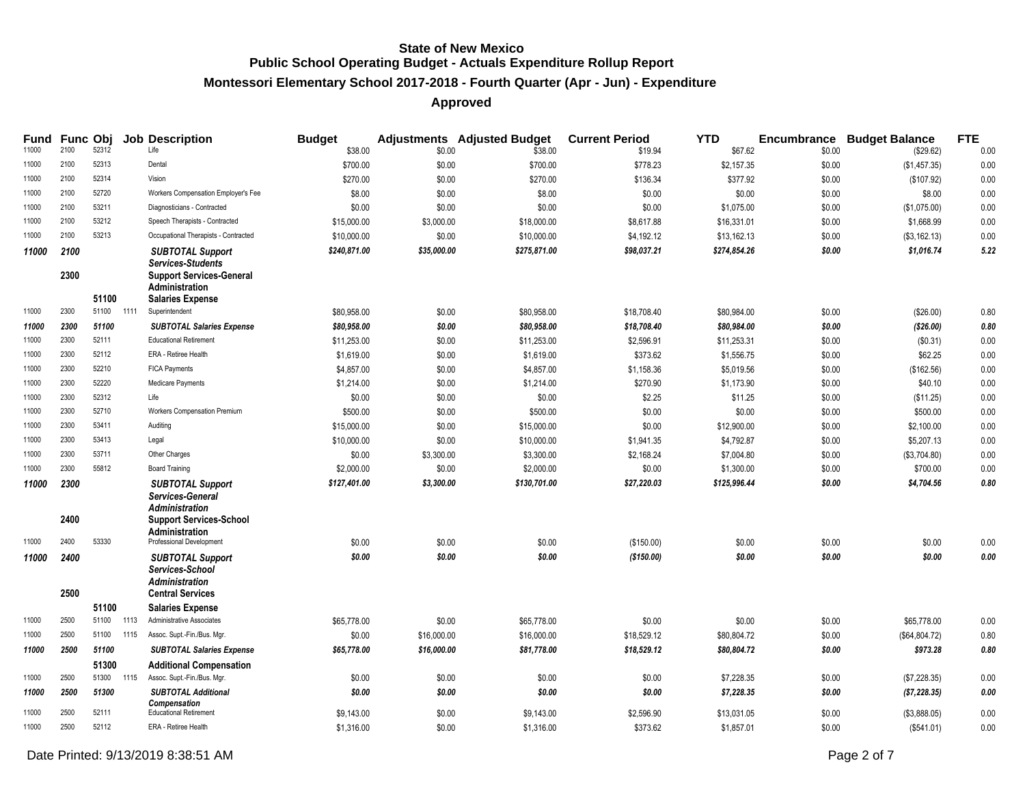# **Montessori Elementary School 2017-2018 - Fourth Quarter (Apr - Jun) - Expenditure**

| Fund  |              | <b>Func Obj</b> |      | <b>Job Description</b>                                                                                                   | <b>Budget</b> |             | <b>Adjustments</b> Adjusted Budget | <b>Current Period</b> | <b>YTD</b>   |        | <b>Encumbrance Budget Balance</b> | <b>FTE</b> |
|-------|--------------|-----------------|------|--------------------------------------------------------------------------------------------------------------------------|---------------|-------------|------------------------------------|-----------------------|--------------|--------|-----------------------------------|------------|
| 11000 | 2100         | 52312           |      | Life                                                                                                                     | \$38.00       | \$0.00      | \$38.00                            | \$19.94               | \$67.62      | \$0.00 | (\$29.62)                         | 0.00       |
| 11000 | 2100         | 52313           |      | Dental                                                                                                                   | \$700.00      | \$0.00      | \$700.00                           | \$778.23              | \$2,157.35   | \$0.00 | (\$1,457.35)                      | 0.00       |
| 11000 | 2100         | 52314           |      | Vision                                                                                                                   | \$270.00      | \$0.00      | \$270.00                           | \$136.34              | \$377.92     | \$0.00 | (\$107.92)                        | 0.00       |
| 11000 | 2100         | 52720           |      | Workers Compensation Employer's Fee                                                                                      | \$8.00        | \$0.00      | \$8.00                             | \$0.00                | \$0.00       | \$0.00 | \$8.00                            | 0.00       |
| 11000 | 2100         | 53211           |      | Diagnosticians - Contracted                                                                                              | \$0.00        | \$0.00      | \$0.00                             | \$0.00                | \$1,075.00   | \$0.00 | (\$1,075.00)                      | 0.00       |
| 11000 | 2100         | 53212           |      | Speech Therapists - Contracted                                                                                           | \$15,000.00   | \$3,000.00  | \$18,000.00                        | \$8,617.88            | \$16,331.01  | \$0.00 | \$1,668.99                        | 0.00       |
| 11000 | 2100         | 53213           |      | Occupational Therapists - Contracted                                                                                     | \$10,000.00   | \$0.00      | \$10,000.00                        | \$4,192.12            | \$13,162.13  | \$0.00 | (\$3,162.13)                      | 0.00       |
| 11000 | 2100         |                 |      | <b>SUBTOTAL Support</b><br><b>Services-Students</b>                                                                      | \$240,871.00  | \$35,000.00 | \$275,871.00                       | \$98,037.21           | \$274,854.26 | \$0.00 | \$1,016.74                        | 5.22       |
|       | 2300         | 51100           |      | <b>Support Services-General</b><br><b>Administration</b><br><b>Salaries Expense</b>                                      |               |             |                                    |                       |              |        |                                   |            |
| 11000 | 2300         | 51100 1111      |      | Superintendent                                                                                                           | \$80,958.00   | \$0.00      | \$80,958.00                        | \$18,708.40           | \$80,984.00  | \$0.00 | (\$26.00)                         | 0.80       |
| 11000 | 2300         | 51100           |      | <b>SUBTOTAL Salaries Expense</b>                                                                                         | \$80,958.00   | \$0.00      | \$80,958.00                        | \$18,708.40           | \$80,984.00  | \$0.00 | (\$26.00)                         | 0.80       |
| 11000 | 2300         | 52111           |      | <b>Educational Retirement</b>                                                                                            | \$11,253.00   | \$0.00      | \$11,253.00                        | \$2,596.91            | \$11,253.31  | \$0.00 | (\$0.31)                          | 0.00       |
| 11000 | 2300         | 52112           |      | ERA - Retiree Health                                                                                                     | \$1,619.00    | \$0.00      | \$1,619.00                         | \$373.62              | \$1,556.75   | \$0.00 | \$62.25                           | 0.00       |
| 11000 | 2300         | 52210           |      | <b>FICA Payments</b>                                                                                                     | \$4,857.00    | \$0.00      | \$4,857.00                         | \$1,158.36            | \$5,019.56   | \$0.00 | (\$162.56)                        | 0.00       |
| 11000 | 2300         | 52220           |      | Medicare Payments                                                                                                        | \$1,214.00    | \$0.00      | \$1,214.00                         | \$270.90              | \$1,173.90   | \$0.00 | \$40.10                           | 0.00       |
| 11000 | 2300         | 52312           |      | Life                                                                                                                     | \$0.00        | \$0.00      | \$0.00                             | \$2.25                | \$11.25      | \$0.00 | (\$11.25)                         | 0.00       |
| 11000 | 2300         | 52710           |      | Workers Compensation Premium                                                                                             | \$500.00      | \$0.00      | \$500.00                           | \$0.00                | \$0.00       | \$0.00 | \$500.00                          | 0.00       |
| 11000 | 2300         | 53411           |      | Auditing                                                                                                                 | \$15,000.00   | \$0.00      | \$15,000.00                        | \$0.00                | \$12,900.00  | \$0.00 | \$2,100.00                        | 0.00       |
| 11000 | 2300         | 53413           |      | Legal                                                                                                                    | \$10,000.00   | \$0.00      | \$10,000.00                        | \$1,941.35            | \$4,792.87   | \$0.00 | \$5,207.13                        | 0.00       |
| 11000 | 2300         | 53711           |      | Other Charges                                                                                                            | \$0.00        | \$3,300.00  | \$3,300.00                         | \$2,168.24            | \$7,004.80   | \$0.00 | (\$3,704.80)                      | 0.00       |
| 11000 | 2300         | 55812           |      | <b>Board Training</b>                                                                                                    | \$2,000.00    | \$0.00      | \$2,000.00                         | \$0.00                | \$1,300.00   | \$0.00 | \$700.00                          | 0.00       |
|       |              |                 |      |                                                                                                                          | \$127,401.00  | \$3,300.00  | \$130,701.00                       | \$27,220.03           | \$125,996.44 | \$0.00 | \$4,704.56                        | 0.80       |
| 11000 | 2300<br>2400 |                 |      | <b>SUBTOTAL Support</b><br>Services-General<br><b>Administration</b><br><b>Support Services-School</b><br>Administration |               |             |                                    |                       |              |        |                                   |            |
| 11000 | 2400         | 53330           |      | Professional Development                                                                                                 | \$0.00        | \$0.00      | \$0.00                             | (\$150.00)            | \$0.00       | \$0.00 | \$0.00                            | 0.00       |
| 11000 | 2400<br>2500 |                 |      | <b>SUBTOTAL Support</b><br>Services-School<br><b>Administration</b><br><b>Central Services</b>                           | \$0.00        | \$0.00      | \$0.00                             | (\$150.00)            | \$0.00       | \$0.00 | \$0.00                            | 0.00       |
|       |              | 51100           |      | <b>Salaries Expense</b>                                                                                                  |               |             |                                    |                       |              |        |                                   |            |
| 11000 | 2500         | 51100           | 1113 | Administrative Associates                                                                                                | \$65,778.00   | \$0.00      | \$65,778.00                        | \$0.00                | \$0.00       | \$0.00 | \$65,778.00                       | 0.00       |
| 11000 | 2500         | 51100 1115      |      | Assoc. Supt.-Fin./Bus. Mgr.                                                                                              | \$0.00        | \$16,000.00 | \$16,000.00                        | \$18,529.12           | \$80,804.72  | \$0.00 | (\$64,804.72)                     | 0.80       |
| 11000 | 2500         | 51100           |      | <b>SUBTOTAL Salaries Expense</b>                                                                                         | \$65,778.00   | \$16,000.00 | \$81,778.00                        | \$18,529.12           | \$80,804.72  | \$0.00 | \$973.28                          | 0.80       |
|       |              | 51300           |      | <b>Additional Compensation</b>                                                                                           |               |             |                                    |                       |              |        |                                   |            |
| 11000 | 2500         | 51300           | 1115 | Assoc. Supt.-Fin./Bus. Mgr.                                                                                              | \$0.00        | \$0.00      | \$0.00                             | \$0.00                | \$7,228.35   | \$0.00 | (\$7,228.35)                      | 0.00       |
| 11000 | 2500         | 51300           |      | <b>SUBTOTAL Additional</b><br>Compensation                                                                               | \$0.00        | \$0.00      | \$0.00                             | \$0.00                | \$7,228.35   | \$0.00 | ( \$7, 228.35)                    | 0.00       |
| 11000 | 2500         | 52111           |      | <b>Educational Retirement</b>                                                                                            | \$9,143.00    | \$0.00      | \$9,143.00                         | \$2,596.90            | \$13,031.05  | \$0.00 | (\$3,888.05)                      | 0.00       |
| 11000 | 2500         | 52112           |      | ERA - Retiree Health                                                                                                     | \$1,316.00    | \$0.00      | \$1,316.00                         | \$373.62              | \$1,857.01   | \$0.00 | (\$541.01)                        | 0.00       |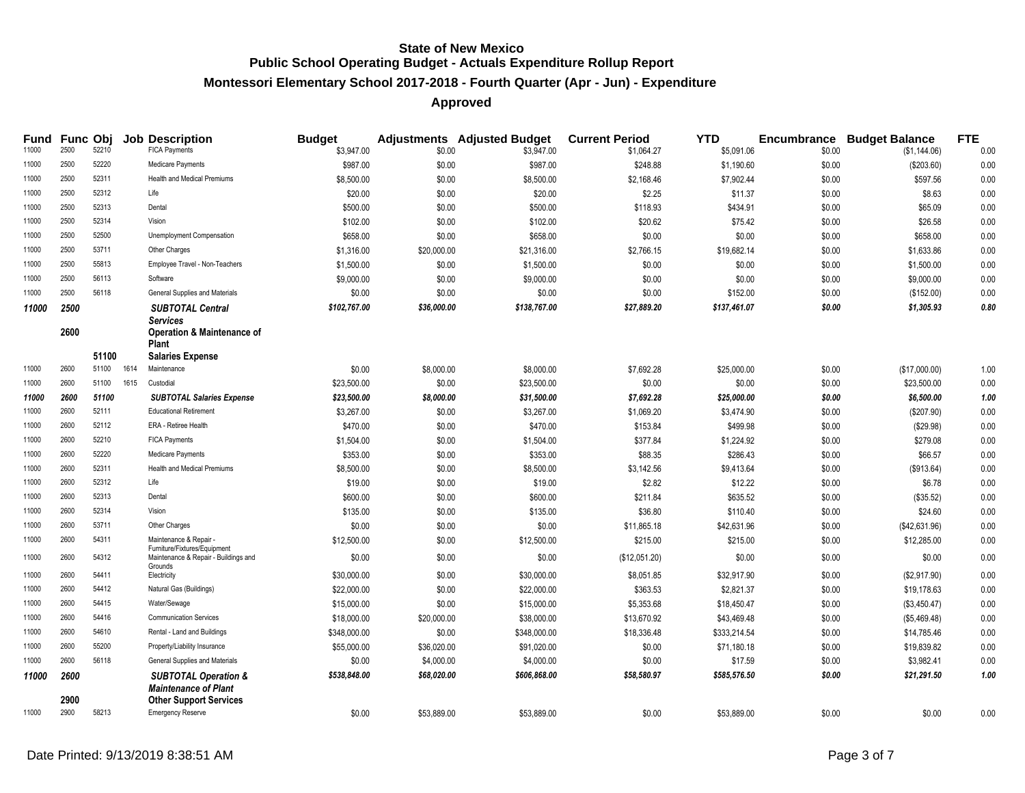# **Montessori Elementary School 2017-2018 - Fourth Quarter (Apr - Jun) - Expenditure**

| <b>Fund</b> | <b>Func Obj</b> |       |      | <b>Job Description</b>                                                                              | <b>Budget</b> |             | <b>Adjustments</b> Adjusted Budget | <b>Current Period</b> | <b>YTD</b>   |        | <b>Encumbrance Budget Balance</b> | <b>FTE</b> |
|-------------|-----------------|-------|------|-----------------------------------------------------------------------------------------------------|---------------|-------------|------------------------------------|-----------------------|--------------|--------|-----------------------------------|------------|
| 11000       | 2500            | 52210 |      | <b>FICA Payments</b>                                                                                | \$3,947.00    | \$0.00      | \$3,947.00                         | \$1,064.27            | \$5,091.06   | \$0.00 | (\$1,144.06)                      | 0.00       |
| 11000       | 2500            | 52220 |      | Medicare Payments                                                                                   | \$987.00      | \$0.00      | \$987.00                           | \$248.88              | \$1,190.60   | \$0.00 | (\$203.60)                        | 0.00       |
| 11000       | 2500            | 52311 |      | <b>Health and Medical Premiums</b>                                                                  | \$8,500.00    | \$0.00      | \$8,500.00                         | \$2,168.46            | \$7,902.44   | \$0.00 | \$597.56                          | 0.00       |
| 11000       | 2500            | 52312 |      | Life                                                                                                | \$20.00       | \$0.00      | \$20.00                            | \$2.25                | \$11.37      | \$0.00 | \$8.63                            | 0.00       |
| 11000       | 2500            | 52313 |      | Dental                                                                                              | \$500.00      | \$0.00      | \$500.00                           | \$118.93              | \$434.91     | \$0.00 | \$65.09                           | 0.00       |
| 11000       | 2500            | 52314 |      | Vision                                                                                              | \$102.00      | \$0.00      | \$102.00                           | \$20.62               | \$75.42      | \$0.00 | \$26.58                           | 0.00       |
| 11000       | 2500            | 52500 |      | Unemployment Compensation                                                                           | \$658.00      | \$0.00      | \$658.00                           | \$0.00                | \$0.00       | \$0.00 | \$658.00                          | 0.00       |
| 11000       | 2500            | 53711 |      | Other Charges                                                                                       | \$1,316.00    | \$20,000.00 | \$21,316.00                        | \$2,766.15            | \$19,682.14  | \$0.00 | \$1,633.86                        | 0.00       |
| 11000       | 2500            | 55813 |      | Employee Travel - Non-Teachers                                                                      | \$1,500.00    | \$0.00      | \$1,500.00                         | \$0.00                | \$0.00       | \$0.00 | \$1,500.00                        | 0.00       |
| 11000       | 2500            | 56113 |      | Software                                                                                            | \$9,000.00    | \$0.00      | \$9,000.00                         | \$0.00                | \$0.00       | \$0.00 | \$9,000.00                        | 0.00       |
| 11000       | 2500            | 56118 |      | General Supplies and Materials                                                                      | \$0.00        | \$0.00      | \$0.00                             | \$0.00                | \$152.00     | \$0.00 | (\$152.00)                        | 0.00       |
| 11000       | 2500            |       |      | <b>SUBTOTAL Central</b>                                                                             | \$102,767.00  | \$36,000.00 | \$138,767.00                       | \$27,889.20           | \$137,461.07 | \$0.00 | \$1,305.93                        | 0.80       |
|             | 2600            | 51100 |      | <b>Services</b><br><b>Operation &amp; Maintenance of</b><br><b>Plant</b><br><b>Salaries Expense</b> |               |             |                                    |                       |              |        |                                   |            |
| 11000       | 2600            | 51100 | 1614 | Maintenance                                                                                         | \$0.00        | \$8,000.00  | \$8,000.00                         | \$7,692.28            | \$25,000.00  | \$0.00 | (\$17,000.00)                     | 1.00       |
| 11000       | 2600            | 51100 | 1615 | Custodial                                                                                           | \$23,500.00   | \$0.00      | \$23,500.00                        | \$0.00                | \$0.00       | \$0.00 | \$23,500.00                       | 0.00       |
| 11000       | 2600            | 51100 |      | <b>SUBTOTAL Salaries Expense</b>                                                                    | \$23,500.00   | \$8,000.00  | \$31,500.00                        | \$7,692.28            | \$25,000.00  | \$0.00 | \$6,500.00                        | 1.00       |
| 11000       | 2600            | 52111 |      | <b>Educational Retirement</b>                                                                       | \$3,267.00    | \$0.00      | \$3,267.00                         | \$1,069.20            | \$3,474.90   | \$0.00 | (\$207.90)                        | 0.00       |
| 11000       | 2600            | 52112 |      | ERA - Retiree Health                                                                                | \$470.00      | \$0.00      | \$470.00                           | \$153.84              | \$499.98     | \$0.00 | (\$29.98)                         | 0.00       |
| 11000       | 2600            | 52210 |      | <b>FICA Payments</b>                                                                                | \$1,504.00    | \$0.00      | \$1,504.00                         | \$377.84              | \$1,224.92   | \$0.00 | \$279.08                          | 0.00       |
| 11000       | 2600            | 52220 |      | Medicare Payments                                                                                   | \$353.00      | \$0.00      | \$353.00                           | \$88.35               | \$286.43     | \$0.00 | \$66.57                           | 0.00       |
| 11000       | 2600            | 52311 |      | Health and Medical Premiums                                                                         | \$8,500.00    | \$0.00      | \$8,500.00                         | \$3,142.56            | \$9,413.64   | \$0.00 | (\$913.64)                        | 0.00       |
| 11000       | 2600            | 52312 |      | Life                                                                                                | \$19.00       | \$0.00      | \$19.00                            | \$2.82                | \$12.22      | \$0.00 | \$6.78                            | 0.00       |
| 11000       | 2600            | 52313 |      | Dental                                                                                              | \$600.00      | \$0.00      | \$600.00                           | \$211.84              | \$635.52     | \$0.00 | (\$35.52)                         | 0.00       |
| 11000       | 2600            | 52314 |      | Vision                                                                                              | \$135.00      | \$0.00      | \$135.00                           | \$36.80               | \$110.40     | \$0.00 | \$24.60                           | 0.00       |
| 11000       | 2600            | 53711 |      | Other Charges                                                                                       | \$0.00        | \$0.00      | \$0.00                             | \$11,865.18           | \$42,631.96  | \$0.00 | (\$42,631.96)                     | 0.00       |
| 11000       | 2600            | 54311 |      | Maintenance & Repair -                                                                              | \$12,500.00   | \$0.00      | \$12,500.00                        | \$215.00              | \$215.00     | \$0.00 | \$12,285.00                       | 0.00       |
| 11000       | 2600            | 54312 |      | Furniture/Fixtures/Equipment<br>Maintenance & Repair - Buildings and<br>Grounds                     | \$0.00        | \$0.00      | \$0.00                             | (\$12,051.20)         | \$0.00       | \$0.00 | \$0.00                            | 0.00       |
| 11000       | 2600            | 54411 |      | Electricity                                                                                         | \$30,000.00   | \$0.00      | \$30,000.00                        | \$8,051.85            | \$32,917.90  | \$0.00 | (\$2,917.90)                      | 0.00       |
| 11000       | 2600            | 54412 |      | Natural Gas (Buildings)                                                                             | \$22,000.00   | \$0.00      | \$22,000.00                        | \$363.53              | \$2,821.37   | \$0.00 | \$19,178.63                       | 0.00       |
| 11000       | 2600            | 54415 |      | Water/Sewage                                                                                        | \$15,000.00   | \$0.00      | \$15,000.00                        | \$5,353.68            | \$18,450.47  | \$0.00 | (\$3,450.47)                      | 0.00       |
| 11000       | 2600            | 54416 |      | <b>Communication Services</b>                                                                       | \$18,000.00   | \$20,000.00 | \$38,000.00                        | \$13,670.92           | \$43,469.48  | \$0.00 | (\$5,469.48)                      | 0.00       |
| 11000       | 2600            | 54610 |      | Rental - Land and Buildings                                                                         | \$348,000.00  | \$0.00      | \$348,000.00                       | \$18,336.48           | \$333,214.54 | \$0.00 | \$14,785.46                       | 0.00       |
| 11000       | 2600            | 55200 |      | Property/Liability Insurance                                                                        | \$55,000.00   | \$36,020.00 | \$91,020.00                        | \$0.00                | \$71,180.18  | \$0.00 | \$19,839.82                       | 0.00       |
| 11000       | 2600            | 56118 |      | General Supplies and Materials                                                                      | \$0.00        | \$4,000.00  | \$4,000.00                         | \$0.00                | \$17.59      | \$0.00 | \$3,982.41                        | 0.00       |
| 11000       | 2600            |       |      | <b>SUBTOTAL Operation &amp;</b>                                                                     | \$538,848.00  | \$68,020.00 | \$606,868.00                       | \$58,580.97           | \$585,576.50 | \$0.00 | \$21,291.50                       | 1.00       |
|             | 2900            |       |      | <b>Maintenance of Plant</b><br><b>Other Support Services</b>                                        |               |             |                                    |                       |              |        |                                   |            |
| 11000       | 2900            | 58213 |      | Emergency Reserve                                                                                   | \$0.00        | \$53,889.00 | \$53,889.00                        | \$0.00                | \$53,889.00  | \$0.00 | \$0.00                            | 0.00       |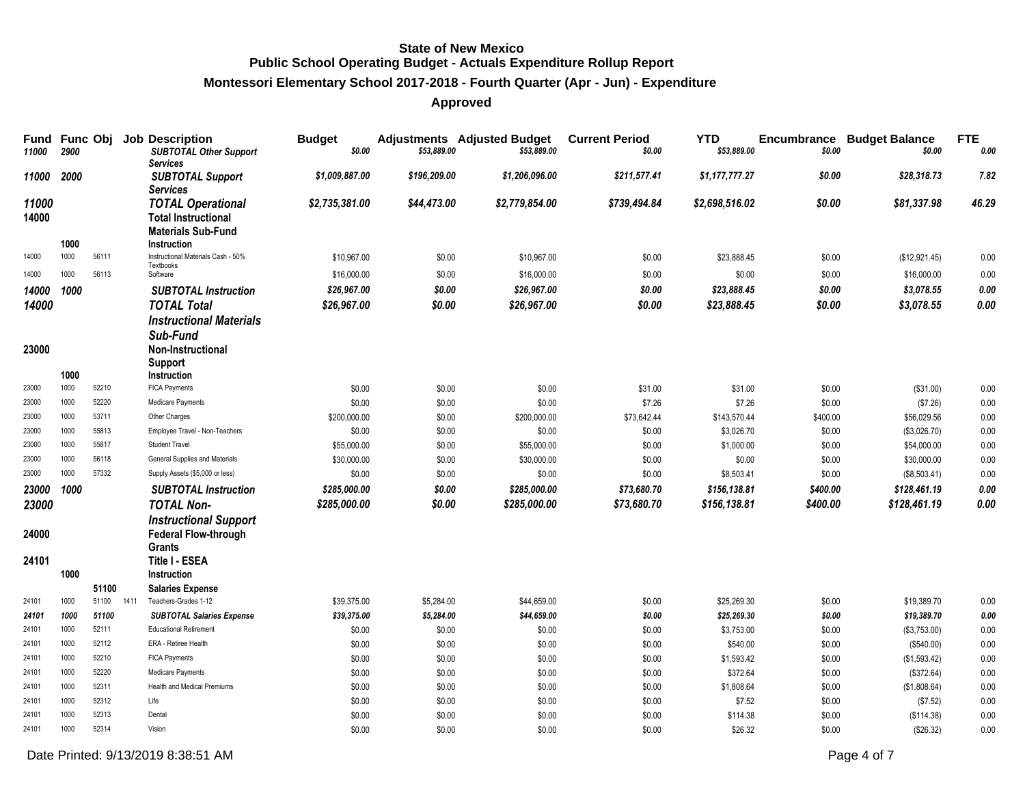# **Montessori Elementary School 2017-2018 - Fourth Quarter (Apr - Jun) - Expenditure**

# **Approved**

| Fund<br>11000  | 2900         | Func Obj       |      | <b>Job Description</b><br><b>SUBTOTAL Other Support</b><br><b>Services</b>                                | <b>Budget</b><br>\$0.00 | \$53,889.00      | <b>Adjustments</b> Adjusted Budget<br>\$53,889.00 | <b>Current Period</b><br>\$0.00 | <b>YTD</b><br>\$53,889.00 | Encumbrance<br>\$0.00 | <b>Budget Balance</b><br>\$0.00 | <b>FTE</b><br>0.00 |
|----------------|--------------|----------------|------|-----------------------------------------------------------------------------------------------------------|-------------------------|------------------|---------------------------------------------------|---------------------------------|---------------------------|-----------------------|---------------------------------|--------------------|
| 11000          | 2000         |                |      | <b>SUBTOTAL Support</b><br><b>Services</b>                                                                | \$1,009,887.00          | \$196,209.00     | \$1.206.096.00                                    | \$211,577.41                    | \$1,177,777.27            | \$0.00                | \$28,318,73                     | 7.82               |
| 11000<br>14000 | 1000         |                |      | <b>TOTAL Operational</b><br><b>Total Instructional</b><br><b>Materials Sub-Fund</b><br><b>Instruction</b> | \$2,735,381.00          | \$44,473.00      | \$2,779,854.00                                    | \$739,494.84                    | \$2,698,516.02            | \$0.00                | \$81,337.98                     | 46.29              |
| 14000          | 1000         | 56111          |      | Instructional Materials Cash - 50%                                                                        | \$10,967.00             | \$0.00           | \$10,967.00                                       | \$0.00                          | \$23,888.45               | \$0.00                | (\$12,921.45)                   | 0.00               |
| 14000          | 1000         | 56113          |      | Textbooks<br>Software                                                                                     | \$16,000.00             | \$0.00           | \$16,000.00                                       | \$0.00                          | \$0.00                    | \$0.00                | \$16,000.00                     | 0.00               |
| 14000          | 1000         |                |      | <b>SUBTOTAL Instruction</b>                                                                               | \$26,967.00             | \$0.00           | \$26,967.00                                       | \$0.00                          | \$23,888.45               | \$0.00                | \$3,078.55                      | 0.00               |
| 14000          |              |                |      | <b>TOTAL Total</b>                                                                                        | \$26,967.00             | \$0.00           | \$26,967.00                                       | \$0.00                          | \$23,888.45               | \$0.00                | \$3,078.55                      | 0.00               |
| 23000          |              |                |      | <b>Instructional Materials</b><br>Sub-Fund<br>Non-Instructional<br>Support                                |                         |                  |                                                   |                                 |                           |                       |                                 |                    |
| 23000          | 1000<br>1000 | 52210          |      | <b>Instruction</b><br>FICA Payments                                                                       | \$0.00                  | \$0.00           | \$0.00                                            | \$31.00                         | \$31.00                   | \$0.00                | (\$31.00)                       | 0.00               |
| 23000          | 1000         | 52220          |      | Medicare Payments                                                                                         | \$0.00                  | \$0.00           | \$0.00                                            | \$7.26                          | \$7.26                    | \$0.00                | (\$7.26)                        | 0.00               |
| 23000          | 1000         | 53711          |      | Other Charges                                                                                             | \$200,000.00            | \$0.00           | \$200,000.00                                      | \$73,642.44                     | \$143,570.44              | \$400.00              | \$56,029.56                     | 0.00               |
| 23000          | 1000         | 55813          |      | Employee Travel - Non-Teachers                                                                            | \$0.00                  | \$0.00           | \$0.00                                            | \$0.00                          | \$3,026.70                | \$0.00                | (\$3,026.70)                    | 0.00               |
| 23000          | 1000         | 55817          |      | Student Travel                                                                                            | \$55,000.00             | \$0.00           | \$55,000.00                                       | \$0.00                          | \$1,000.00                | \$0.00                | \$54,000.00                     | 0.00               |
| 23000          | 1000         | 56118          |      | General Supplies and Materials                                                                            | \$30,000.00             | \$0.00           | \$30,000.00                                       | \$0.00                          | \$0.00                    | \$0.00                | \$30,000.00                     | 0.00               |
| 23000          | 1000         | 57332          |      | Supply Assets (\$5,000 or less)                                                                           | \$0.00                  | \$0.00           | \$0.00                                            | \$0.00                          | \$8,503.41                | \$0.00                | (\$8,503.41)                    | 0.00               |
| 23000          | 1000         |                |      | <b>SUBTOTAL Instruction</b>                                                                               | \$285,000.00            | \$0.00           | \$285,000.00                                      | \$73,680.70                     | \$156,138.81              | \$400.00              | \$128,461.19                    | $0.00\,$           |
| 23000          |              |                |      | <b>TOTAL Non-</b>                                                                                         | \$285,000.00            | \$0.00           | \$285,000.00                                      | \$73,680.70                     | \$156,138.81              | \$400.00              | \$128,461.19                    | 0.00               |
| 24000          |              |                |      | <b>Instructional Support</b><br><b>Federal Flow-through</b><br><b>Grants</b>                              |                         |                  |                                                   |                                 |                           |                       |                                 |                    |
| 24101          |              |                |      | Title I - ESEA                                                                                            |                         |                  |                                                   |                                 |                           |                       |                                 |                    |
|                | 1000         |                |      | Instruction                                                                                               |                         |                  |                                                   |                                 |                           |                       |                                 |                    |
|                |              | 51100          |      | <b>Salaries Expense</b>                                                                                   |                         |                  |                                                   |                                 |                           |                       |                                 |                    |
| 24101          | 1000         | 51100          | 1411 | Teachers-Grades 1-12                                                                                      | \$39,375.00             | \$5,284.00       | \$44,659.00                                       | \$0.00                          | \$25,269.30               | \$0.00                | \$19,389.70                     | 0.00               |
| 24101<br>24101 | 1000<br>1000 | 51100<br>52111 |      | <b>SUBTOTAL Salaries Expense</b><br><b>Educational Retirement</b>                                         | \$39,375.00             | \$5,284.00       | \$44,659.00                                       | \$0.00                          | \$25,269.30               | \$0.00                | \$19,389.70                     | 0.00               |
| 24101          | 1000         | 52112          |      | ERA - Retiree Health                                                                                      | \$0.00<br>\$0.00        | \$0.00<br>\$0.00 | \$0.00<br>\$0.00                                  | \$0.00<br>\$0.00                | \$3,753.00<br>\$540.00    | \$0.00<br>\$0.00      | (\$3,753.00)<br>(\$540.00)      | 0.00<br>0.00       |
| 24101          | 1000         | 52210          |      | FICA Payments                                                                                             | \$0.00                  | \$0.00           | \$0.00                                            | \$0.00                          | \$1,593.42                | \$0.00                | (\$1,593.42)                    | 0.00               |
| 24101          | 1000         | 52220          |      | Medicare Payments                                                                                         | \$0.00                  | \$0.00           | \$0.00                                            | \$0.00                          | \$372.64                  | \$0.00                | (\$372.64)                      | 0.00               |
| 24101          | 1000         | 52311          |      | <b>Health and Medical Premiums</b>                                                                        | \$0.00                  | \$0.00           | \$0.00                                            | \$0.00                          | \$1,808.64                | \$0.00                | (\$1,808.64)                    | 0.00               |
| 24101          | 1000         | 52312          |      | Life                                                                                                      | \$0.00                  | \$0.00           | \$0.00                                            | \$0.00                          | \$7.52                    | \$0.00                | (\$7.52)                        | 0.00               |
| 24101          | 1000         | 52313          |      | Dental                                                                                                    | \$0.00                  | \$0.00           | \$0.00                                            | \$0.00                          | \$114.38                  | \$0.00                | (\$114.38)                      | 0.00               |
| 24101          | 1000         | 52314          |      | Vision                                                                                                    | \$0.00                  | \$0.00           | \$0.00                                            | \$0.00                          | \$26.32                   | \$0.00                | (\$26.32)                       | 0.00               |

Date Printed:  $9/13/20198.38.51$  AM Page 4 of 7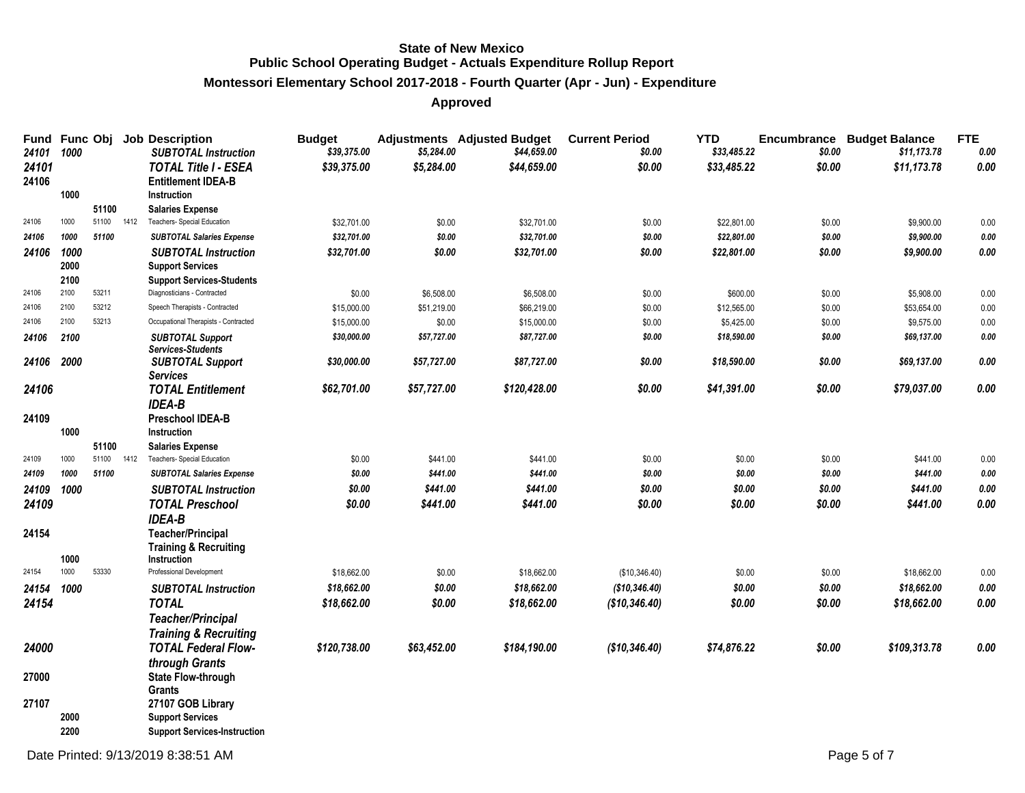# **Montessori Elementary School 2017-2018 - Fourth Quarter (Apr - Jun) - Expenditure**

| Fund<br>24101  | Func Obj<br>1000 |                |      | <b>Job Description</b><br><b>SUBTOTAL Instruction</b>    | <b>Budget</b><br>\$39,375.00 | \$5,284.00  | <b>Adjustments</b> Adjusted Budget<br>\$44,659.00 | <b>Current Period</b><br>\$0.00 | <b>YTD</b><br>\$33,485.22 | \$0.00 | <b>Encumbrance Budget Balance</b><br>\$11,173.78 | <b>FTE</b><br>0.00 |
|----------------|------------------|----------------|------|----------------------------------------------------------|------------------------------|-------------|---------------------------------------------------|---------------------------------|---------------------------|--------|--------------------------------------------------|--------------------|
| 24101<br>24106 |                  |                |      | <b>TOTAL Title I - ESEA</b><br><b>Entitlement IDEA-B</b> | \$39,375.00                  | \$5,284.00  | \$44,659.00                                       | \$0.00                          | \$33,485.22               | \$0.00 | \$11,173.78                                      | 0.00               |
|                | 1000             |                |      | Instruction                                              |                              |             |                                                   |                                 |                           |        |                                                  |                    |
| 24106          | 1000             | 51100<br>51100 | 1412 | <b>Salaries Expense</b><br>Teachers- Special Education   | \$32,701.00                  | \$0.00      | \$32,701.00                                       | \$0.00                          | \$22,801.00               | \$0.00 | \$9,900.00                                       | 0.00               |
| 24106          | 1000             | 51100          |      | <b>SUBTOTAL Salaries Expense</b>                         | \$32,701.00                  | \$0.00      | \$32,701.00                                       | \$0.00                          | \$22,801.00               | \$0.00 | \$9,900.00                                       | 0.00               |
| 24106          | 1000             |                |      | <b>SUBTOTAL Instruction</b>                              | \$32,701.00                  | \$0.00      | \$32,701.00                                       | \$0.00                          | \$22,801.00               | \$0.00 | \$9,900.00                                       | 0.00               |
|                | 2000             |                |      | <b>Support Services</b>                                  |                              |             |                                                   |                                 |                           |        |                                                  |                    |
|                | 2100             |                |      | <b>Support Services-Students</b>                         |                              |             |                                                   |                                 |                           |        |                                                  |                    |
| 24106          | 2100             | 53211          |      | Diagnosticians - Contracted                              | \$0.00                       | \$6,508.00  | \$6,508.00                                        | \$0.00                          | \$600.00                  | \$0.00 | \$5,908.00                                       | 0.00               |
| 24106          | 2100             | 53212          |      | Speech Therapists - Contracted                           | \$15,000.00                  | \$51,219.00 | \$66,219.00                                       | \$0.00                          | \$12,565.00               | \$0.00 | \$53,654.00                                      | 0.00               |
| 24106          | 2100             | 53213          |      | Occupational Therapists - Contracted                     | \$15,000.00                  | \$0.00      | \$15,000.00                                       | \$0.00                          | \$5,425.00                | \$0.00 | \$9,575.00                                       | 0.00               |
| 24106          | 2100             |                |      | <b>SUBTOTAL Support</b>                                  | \$30,000.00                  | \$57,727.00 | \$87,727.00                                       | \$0.00                          | \$18,590.00               | \$0.00 | \$69,137.00                                      | 0.00               |
|                |                  |                |      | <b>Services-Students</b>                                 |                              |             |                                                   |                                 |                           |        |                                                  |                    |
| 24106          | 2000             |                |      | <b>SUBTOTAL Support</b>                                  | \$30,000.00                  | \$57,727.00 | \$87,727.00                                       | \$0.00                          | \$18,590.00               | \$0.00 | \$69,137.00                                      | 0.00               |
|                |                  |                |      | <b>Services</b>                                          |                              |             |                                                   |                                 |                           |        |                                                  |                    |
| 24106          |                  |                |      | <b>TOTAL Entitlement</b><br><b>IDEA-B</b>                | \$62,701.00                  | \$57,727.00 | \$120,428.00                                      | \$0.00                          | \$41,391.00               | \$0.00 | \$79,037.00                                      | 0.00               |
| 24109          |                  |                |      | Preschool IDEA-B                                         |                              |             |                                                   |                                 |                           |        |                                                  |                    |
|                | 1000             |                |      | Instruction                                              |                              |             |                                                   |                                 |                           |        |                                                  |                    |
|                |                  | 51100          |      | <b>Salaries Expense</b>                                  |                              |             |                                                   |                                 |                           |        |                                                  |                    |
| 24109          | 1000             | 51100          | 1412 | Teachers- Special Education                              | \$0.00                       | \$441.00    | \$441.00                                          | \$0.00                          | \$0.00                    | \$0.00 | \$441.00                                         | 0.00               |
| 24109          | 1000             | 51100          |      | <b>SUBTOTAL Salaries Expense</b>                         | \$0.00                       | \$441.00    | \$441.00                                          | \$0.00                          | \$0.00                    | \$0.00 | \$441.00                                         | $\it{0.00}$        |
| 24109          | 1000             |                |      | <b>SUBTOTAL Instruction</b>                              | \$0.00                       | \$441.00    | \$441.00                                          | \$0.00                          | \$0.00                    | \$0.00 | \$441.00                                         | 0.00               |
| 24109          |                  |                |      | <b>TOTAL Preschool</b><br><b>IDEA-B</b>                  | \$0.00                       | \$441.00    | \$441.00                                          | \$0.00                          | \$0.00                    | \$0.00 | \$441.00                                         | 0.00               |
| 24154          |                  |                |      | <b>Teacher/Principal</b>                                 |                              |             |                                                   |                                 |                           |        |                                                  |                    |
|                | 1000             |                |      | <b>Training &amp; Recruiting</b><br>Instruction          |                              |             |                                                   |                                 |                           |        |                                                  |                    |
| 24154          | 1000             | 53330          |      | Professional Development                                 | \$18,662.00                  | \$0.00      | \$18,662.00                                       | (\$10,346.40)                   | \$0.00                    | \$0.00 | \$18,662.00                                      | 0.00               |
| 24154 1000     |                  |                |      | <b>SUBTOTAL Instruction</b>                              | \$18,662.00                  | \$0.00      | \$18,662.00                                       | (\$10,346.40)                   | \$0.00                    | \$0.00 | \$18,662.00                                      | 0.00               |
| 24154          |                  |                |      | <b>TOTAL</b>                                             | \$18,662.00                  | \$0.00      | \$18,662.00                                       | (\$10,346.40)                   | \$0.00                    | \$0.00 | \$18,662.00                                      | 0.00               |
|                |                  |                |      | <b>Teacher/Principal</b>                                 |                              |             |                                                   |                                 |                           |        |                                                  |                    |
|                |                  |                |      | <b>Training &amp; Recruiting</b>                         |                              |             |                                                   |                                 |                           |        |                                                  |                    |
| 24000          |                  |                |      | <b>TOTAL Federal Flow-</b>                               | \$120,738.00                 | \$63,452.00 | \$184,190.00                                      | (\$10,346.40)                   | \$74,876.22               | \$0.00 | \$109,313.78                                     | $0.00\,$           |
|                |                  |                |      | through Grants                                           |                              |             |                                                   |                                 |                           |        |                                                  |                    |
| 27000          |                  |                |      | <b>State Flow-through</b>                                |                              |             |                                                   |                                 |                           |        |                                                  |                    |
|                |                  |                |      | <b>Grants</b>                                            |                              |             |                                                   |                                 |                           |        |                                                  |                    |
| 27107          |                  |                |      | 27107 GOB Library                                        |                              |             |                                                   |                                 |                           |        |                                                  |                    |
|                | 2000             |                |      | <b>Support Services</b>                                  |                              |             |                                                   |                                 |                           |        |                                                  |                    |
|                | 2200             |                |      | <b>Support Services-Instruction</b>                      |                              |             |                                                   |                                 |                           |        |                                                  |                    |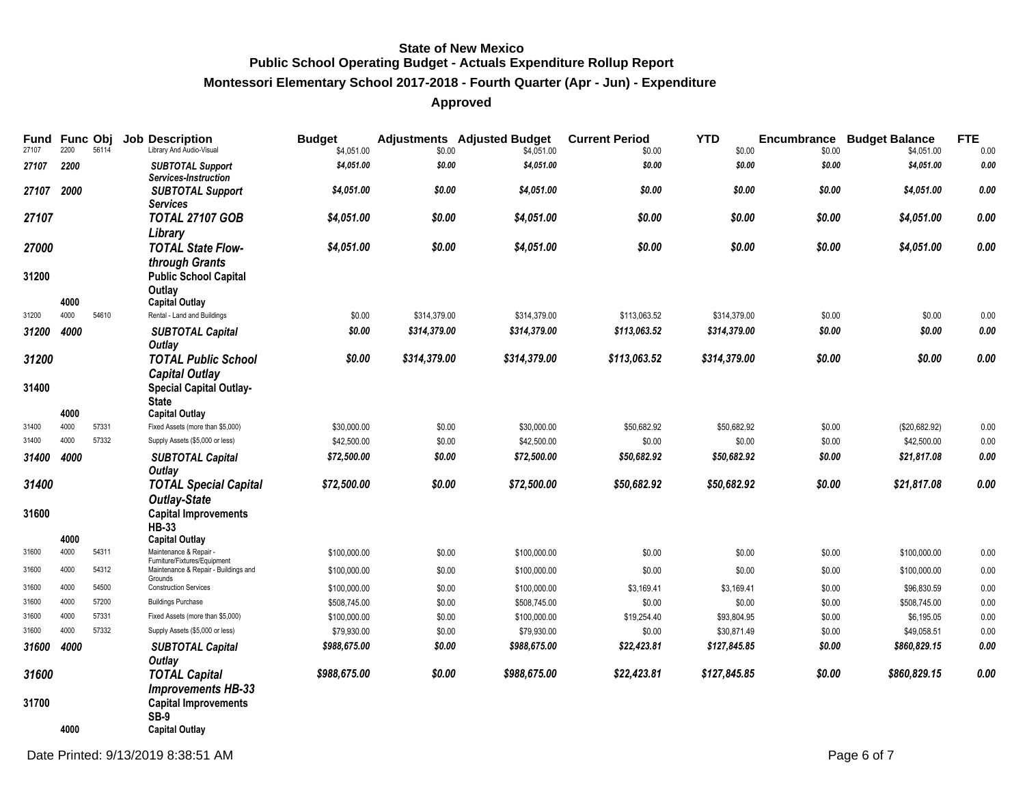# **Montessori Elementary School 2017-2018 - Fourth Quarter (Apr - Jun) - Expenditure**

| <b>Fund Func Obj</b><br>27107 | 2200 | 56114 | <b>Job Description</b><br>Library And Audio-Visual     | <b>Budget</b><br>\$4,051.00 | \$0.00       | <b>Adjustments</b> Adjusted Budget<br>\$4,051.00 | <b>Current Period</b><br>\$0.00 | <b>YTD</b><br>\$0.00 | Encumbrance<br>\$0.00 | <b>Budget Balance</b><br>\$4,051.00 | <b>FTE</b><br>0.00 |
|-------------------------------|------|-------|--------------------------------------------------------|-----------------------------|--------------|--------------------------------------------------|---------------------------------|----------------------|-----------------------|-------------------------------------|--------------------|
| 27107                         | 2200 |       | <b>SUBTOTAL Support</b><br>Services-Instruction        | \$4,051.00                  | \$0.00       | \$4,051.00                                       | \$0.00                          | \$0.00               | \$0.00                | \$4,051.00                          | 0.00               |
| 27107 2000                    |      |       | <b>SUBTOTAL Support</b><br><b>Services</b>             | \$4,051.00                  | \$0.00       | \$4,051.00                                       | \$0.00                          | \$0.00               | \$0.00                | \$4,051.00                          | 0.00               |
| 27107                         |      |       | <b>TOTAL 27107 GOB</b><br>Library                      | \$4,051.00                  | \$0.00       | \$4,051.00                                       | \$0.00                          | \$0.00               | \$0.00                | \$4,051.00                          | 0.00               |
| 27000                         |      |       | <b>TOTAL State Flow-</b><br>through Grants             | \$4,051.00                  | \$0.00       | \$4,051.00                                       | \$0.00                          | \$0.00               | \$0.00                | \$4,051.00                          | 0.00               |
| 31200                         |      |       | <b>Public School Capital</b><br>Outlay                 |                             |              |                                                  |                                 |                      |                       |                                     |                    |
|                               | 4000 |       | <b>Capital Outlay</b>                                  |                             |              |                                                  |                                 |                      |                       |                                     |                    |
| 31200                         | 4000 | 54610 | Rental - Land and Buildings                            | \$0.00                      | \$314,379.00 | \$314,379.00                                     | \$113,063.52                    | \$314,379.00         | \$0.00                | \$0.00                              | 0.00               |
| 31200                         | 4000 |       | <b>SUBTOTAL Capital</b><br>Outlay                      | \$0.00                      | \$314,379.00 | \$314,379.00                                     | \$113,063.52                    | \$314,379.00         | \$0.00                | \$0.00                              | 0.00               |
| 31200                         |      |       | <b>TOTAL Public School</b>                             | \$0.00                      | \$314,379.00 | \$314,379.00                                     | \$113,063.52                    | \$314,379.00         | \$0.00                | \$0.00                              | 0.00               |
|                               |      |       | <b>Capital Outlay</b>                                  |                             |              |                                                  |                                 |                      |                       |                                     |                    |
| 31400                         |      |       | <b>Special Capital Outlay-</b><br><b>State</b>         |                             |              |                                                  |                                 |                      |                       |                                     |                    |
|                               | 4000 |       | <b>Capital Outlay</b>                                  |                             |              |                                                  |                                 |                      |                       |                                     |                    |
| 31400                         | 4000 | 57331 | Fixed Assets (more than \$5,000)                       | \$30,000.00                 | \$0.00       | \$30,000.00                                      | \$50,682.92                     | \$50,682.92          | \$0.00                | (\$20,682.92)                       | 0.00               |
| 31400                         | 4000 | 57332 | Supply Assets (\$5,000 or less)                        | \$42,500.00                 | \$0.00       | \$42,500.00                                      | \$0.00                          | \$0.00               | \$0.00                | \$42,500.00                         | 0.00               |
| 31400                         | 4000 |       | <b>SUBTOTAL Capital</b><br>Outlay                      | \$72,500.00                 | \$0.00       | \$72,500.00                                      | \$50,682.92                     | \$50,682.92          | \$0.00                | \$21,817.08                         | 0.00               |
| 31400                         |      |       | <b>TOTAL Special Capital</b>                           | \$72,500.00                 | \$0.00       | \$72,500.00                                      | \$50,682.92                     | \$50,682.92          | \$0.00                | \$21,817.08                         | 0.00               |
|                               |      |       | <b>Outlay-State</b>                                    |                             |              |                                                  |                                 |                      |                       |                                     |                    |
| 31600                         |      |       | <b>Capital Improvements</b><br><b>HB-33</b>            |                             |              |                                                  |                                 |                      |                       |                                     |                    |
|                               | 4000 |       | <b>Capital Outlay</b>                                  |                             |              |                                                  |                                 |                      |                       |                                     |                    |
| 31600                         | 4000 | 54311 | Maintenance & Repair -<br>Furniture/Fixtures/Equipment | \$100,000.00                | \$0.00       | \$100,000.00                                     | \$0.00                          | \$0.00               | \$0.00                | \$100,000.00                        | 0.00               |
| 31600                         | 4000 | 54312 | Maintenance & Repair - Buildings and<br>Grounds        | \$100,000.00                | \$0.00       | \$100,000.00                                     | \$0.00                          | \$0.00               | \$0.00                | \$100,000.00                        | 0.00               |
| 31600                         | 4000 | 54500 | <b>Construction Services</b>                           | \$100,000.00                | \$0.00       | \$100,000.00                                     | \$3,169.41                      | \$3,169.41           | \$0.00                | \$96,830.59                         | 0.00               |
| 31600                         | 4000 | 57200 | <b>Buildings Purchase</b>                              | \$508,745.00                | \$0.00       | \$508,745.00                                     | \$0.00                          | \$0.00               | \$0.00                | \$508,745.00                        | 0.00               |
| 31600                         | 4000 | 57331 | Fixed Assets (more than \$5,000)                       | \$100,000.00                | \$0.00       | \$100,000.00                                     | \$19,254.40                     | \$93,804.95          | \$0.00                | \$6,195.05                          | 0.00               |
| 31600                         | 4000 | 57332 | Supply Assets (\$5,000 or less)                        | \$79,930.00                 | \$0.00       | \$79,930.00                                      | \$0.00                          | \$30,871.49          | \$0.00                | \$49,058.51                         | 0.00               |
| 31600                         | 4000 |       | <b>SUBTOTAL Capital</b><br>Outlay                      | \$988,675.00                | \$0.00       | \$988,675.00                                     | \$22,423.81                     | \$127,845.85         | \$0.00                | \$860,829.15                        | 0.00               |
| 31600                         |      |       | <b>TOTAL Capital</b><br><b>Improvements HB-33</b>      | \$988,675.00                | \$0.00       | \$988,675.00                                     | \$22,423.81                     | \$127,845.85         | \$0.00                | \$860,829.15                        | 0.00               |
| 31700                         |      |       | <b>Capital Improvements</b><br><b>SB-9</b>             |                             |              |                                                  |                                 |                      |                       |                                     |                    |
|                               | 4000 |       | <b>Capital Outlay</b>                                  |                             |              |                                                  |                                 |                      |                       |                                     |                    |